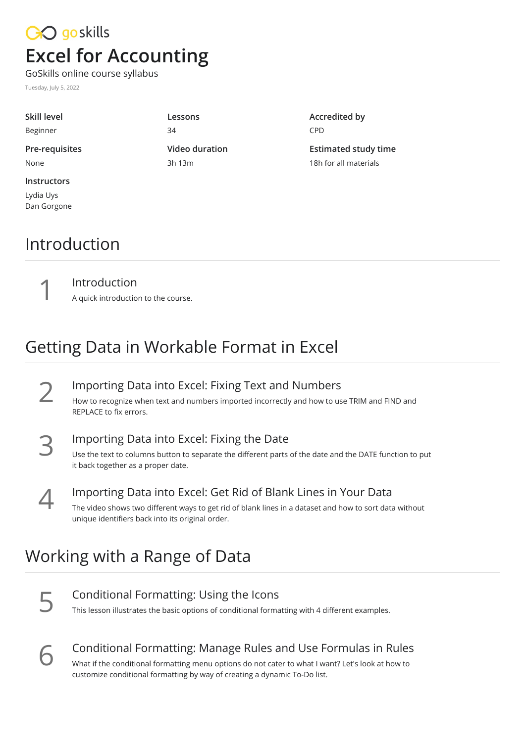# CO goskills **Excel for Accounting**

GoSkills online course syllabus

Tuesday, July 5, 2022

Lydia Uys Dan Gorgone

| Skill level        | Lessons        |
|--------------------|----------------|
| Beginner           | 34             |
| Pre-requisites     | Video duration |
| None               | 3h 13m         |
| <b>Instructors</b> |                |

**Accredited by** CPD

**Estimated study time** 18h for all materials

#### Introduction

Introduction<br>A quick introduction to the course.

## Getting Data in Workable Format in Excel

**IMPORTING Data into Excel: Fixing Text and Numbers**<br>How to recognize when text and numbers imported incorrectly and how to use<br>REPLACE to fix errors. How to recognize when text and numbers imported incorrectly and how to use TRIM and FIND and

**IMPORTING DATA into Excel: Fixing the Date**<br>Use the text to columns button to separate the different parts of<br>it back together as a proper date. Use the text to columns button to separate the different parts of the date and the DATE function to put

Importing Data into Excel: Get Rid of Blank Lines in Your Data<br>
The video shows two different ways to get rid of blank lines in a dataset and how to sort data<br>
unique identifiers back into its original order. The video shows two different ways to get rid of blank lines in a dataset and how to sort data without

## Working with a Range of Data

Conditional Formatting: Using the Icons<br>This lesson illustrates the basic options of conditional formatting with 4 different examples.

**Conditional Formatting: Manage Rules and Use Formulas in Rules**<br>
What if the conditional formatting menu options do not cater to what I want? Let's look at how to<br>
customize conditional formatting by way of creating a dyn What if the conditional formatting menu options do not cater to what I want? Let's look at how to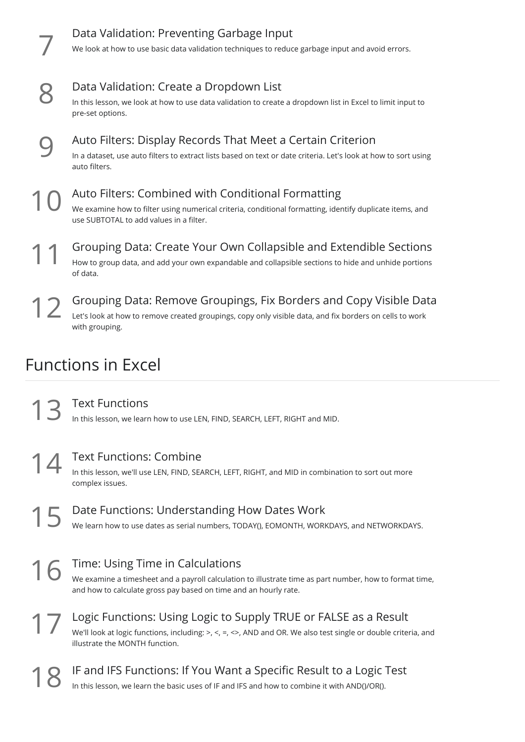|    | Data Validation: Preventing Garbage Input<br>We look at how to use basic data validation techniques to reduce garbage input and avoid errors.                                                             |
|----|-----------------------------------------------------------------------------------------------------------------------------------------------------------------------------------------------------------|
|    | Data Validation: Create a Dropdown List<br>In this lesson, we look at how to use data validation to create a dropdown list in Excel to limit input to<br>pre-set options.                                 |
|    | Auto Filters: Display Records That Meet a Certain Criterion<br>In a dataset, use auto filters to extract lists based on text or date criteria. Let's look at how to sort using<br>auto filters.           |
|    | Auto Filters: Combined with Conditional Formatting<br>We examine how to filter using numerical criteria, conditional formatting, identify duplicate items, and<br>use SUBTOTAL to add values in a filter. |
|    | Grouping Data: Create Your Own Collapsible and Extendible Sections<br>How to group data, and add your own expandable and collapsible sections to hide and unhide portions<br>of data.                     |
| 12 | Grouping Data: Remove Groupings, Fix Borders and Copy Visible Data<br>Let's look at how to remove created groupings, copy only visible data, and fix borders on cells to work<br>with grouping.           |
|    | <b>Functions in Excel</b>                                                                                                                                                                                 |

Text Functions<br>In this lesson, we learn how to use LEN, FIND, SEARCH, LEFT, RIGHT and MID.

**14** Text Functions: Combine<br>
In this lesson, we'll use LEN, FIND, SEAR<br>
complex issues. In this lesson, we'll use LEN, FIND, SEARCH, LEFT, RIGHT, and MID in combination to sort out more

Date Functions: Understanding How Dates Work<br>We learn how to use dates as serial numbers, TODAY(), EOMONTH, WORKDAYS, and NETWORKDAYS.

Time: Using Time in Calculations We examine a timesheet and a payroll calculation to illustrate time as part number, how to format time, and how to calculate gross pay based on time and an hourly rate.

Logic Functions: Using Logic to Supply TRUE or FALSE as a Result<br>We'll look at logic functions, including: >, <, =, <>, AND and OR. We also test single or double criter<br>illustrate the MONTH function. We'll look at logic functions, including: >, <, =, <>, AND and OR. We also test single or double criteria, and

IF and IFS Functions: If You Want a Specific Result to a Logic Test In this lesson, we learn the basic uses of IF and IFS and how to combine it with AND()/OR().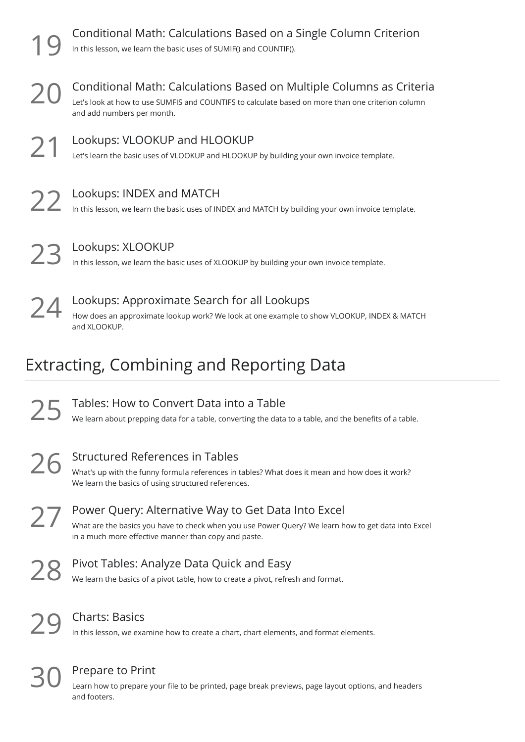|               | Conditional Math: Calculations Based on a Single Column Criterion<br>In this lesson, we learn the basic uses of SUMIF() and COUNTIF().                                                                             |
|---------------|--------------------------------------------------------------------------------------------------------------------------------------------------------------------------------------------------------------------|
| 20            | Conditional Math: Calculations Based on Multiple Columns as Criteria<br>Let's look at how to use SUMFIS and COUNTIFS to calculate based on more than one criterion column<br>and add numbers per month.            |
| $\mathcal{Y}$ | Lookups: VLOOKUP and HLOOKUP<br>Let's learn the basic uses of VLOOKUP and HLOOKUP by building your own invoice template.                                                                                           |
| 22            | Lookups: INDEX and MATCH<br>In this lesson, we learn the basic uses of INDEX and MATCH by building your own invoice template.                                                                                      |
| ノド            | Lookups: XLOOKUP<br>In this lesson, we learn the basic uses of XLOOKUP by building your own invoice template.                                                                                                      |
| 24            | Lookups: Approximate Search for all Lookups<br>How does an approximate lookup work? We look at one example to show VLOOKUP, INDEX & MATCH                                                                          |
|               | and XLOOKUP.                                                                                                                                                                                                       |
|               | Extracting, Combining and Reporting Data                                                                                                                                                                           |
|               | Tables: How to Convert Data into a Table<br>We learn about prepping data for a table, converting the data to a table, and the benefits of a table.                                                                 |
| ノヒ            | <b>Structured References in Tables</b><br>What's up with the funny formula references in tables? What does it mean and how does it work?<br>We learn the basics of using structured references.                    |
| $\angle$ /    | Power Query: Alternative Way to Get Data Into Excel<br>What are the basics you have to check when you use Power Query? We learn how to get data into Excel<br>in a much more effective manner than copy and paste. |
|               | Pivot Tables: Analyze Data Quick and Easy<br>We learn the basics of a pivot table, how to create a pivot, refresh and format.                                                                                      |

Prepare to Print

Learn how to prepare your file to be printed, page break previews, page layout options, and headers  $30$  Prepare<br>and footers.